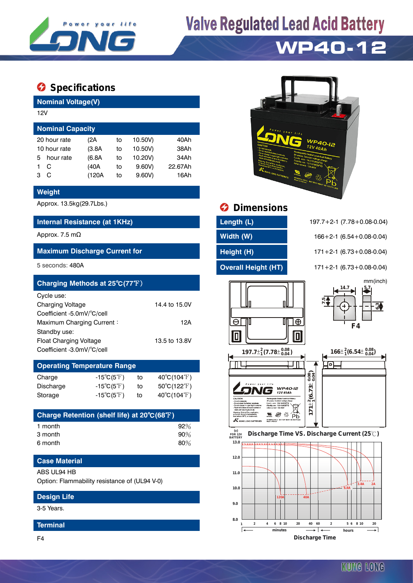

## **Valve Regulated Lead Acid Battery**

## **WP40-12**

### $\bullet$  Specifications

**Nominal Voltage(V)**

| 12V                     |              |        |    |         |         |  |  |  |  |
|-------------------------|--------------|--------|----|---------|---------|--|--|--|--|
| <b>Nominal Capacity</b> |              |        |    |         |         |  |  |  |  |
|                         | 20 hour rate | (2A    | to | 10.50V) | 40Ah    |  |  |  |  |
| 10 hour rate            |              | (3.8A) | to | 10.50V) | 38Ah    |  |  |  |  |
| 5                       | hour rate    | (6.8A) | to | 10.20V) | 34Ah    |  |  |  |  |
|                         | C            | (40A   | to | 9.60V   | 22.67Ah |  |  |  |  |
| з                       | C            | (120A  | to | 9.60V   | 16Ah    |  |  |  |  |
|                         |              |        |    |         |         |  |  |  |  |

#### **Weight**

#### **Internal Resistance (at 1KHz) Length (L)** 197.7+2-1 (7.78+0.08-0.04)

#### **Maximum Discharge Current for Height (H)** 171+2-1 (6.73+0.08-0.04)

| Charging Methods at 25°C(77°F) |               |                              | mm(inch)<br>. 14.7<br>5.7 |
|--------------------------------|---------------|------------------------------|---------------------------|
| Cycle use:                     |               |                              | بہ¤                       |
| <b>Charging Voltage</b>        | 14.4 to 15.0V |                              | ຕ<br>c٥١                  |
| Coefficient -5.0mV/°C/cell     |               |                              |                           |
| Maximum Charging Current:      | 12A           | Ð                            | F4                        |
| Standby use:                   |               | Inl                          |                           |
| <b>Float Charging Voltage</b>  | 13.5 to 13.8V |                              |                           |
| Coefficient -3.0mV/°C/cell     |               | $1077^{+2}$ (7 70 + $0.08$ ) | $166+2$ (6 51 $+$ 0.08)   |

#### **Operating Temperature Range**  $15°C(F<sup>°</sup>F)$  to  $40°C(104°F)$

| Unarye    | - 19 U G T J               |    | $40 \cup 104 \cup$               |
|-----------|----------------------------|----|----------------------------------|
| Discharge | $-15^{\circ}C(5^{\circ}F)$ | τo | $50^{\circ}$ C(122 $^{\circ}$ F) |
| Storage   | $-15^{\circ}C(5^{\circ}F)$ | to | $40^{\circ}$ C(104 $^{\circ}$ F) |

| Charge Retention (shelf life) at 20°C(68°F) |        |
|---------------------------------------------|--------|
| 1 month                                     | $92\%$ |
| 3 month                                     | 90%    |
| 6 month                                     | 80%    |

### **Case Material**

#### ABS UL94 HB

Option: Flammability resistance of (UL94 V-0)

#### **Design Life**

3-5 Years.

#### **Terminal**

F4



## Approx. 13.5kg(29.7Lbs.) **Dimensions**

| Length (L) |  |  |  |
|------------|--|--|--|
| Width (W)  |  |  |  |
| Height (H) |  |  |  |
|            |  |  |  |

Approx. 7.5 mΩ **Width (W)** 166+2-1 (6.54+0.08-0.04)

5 seconds: 480A **Overall Height (HT)** 171+2-1 (6.73+0.08-0.04)













**Discharge Time**